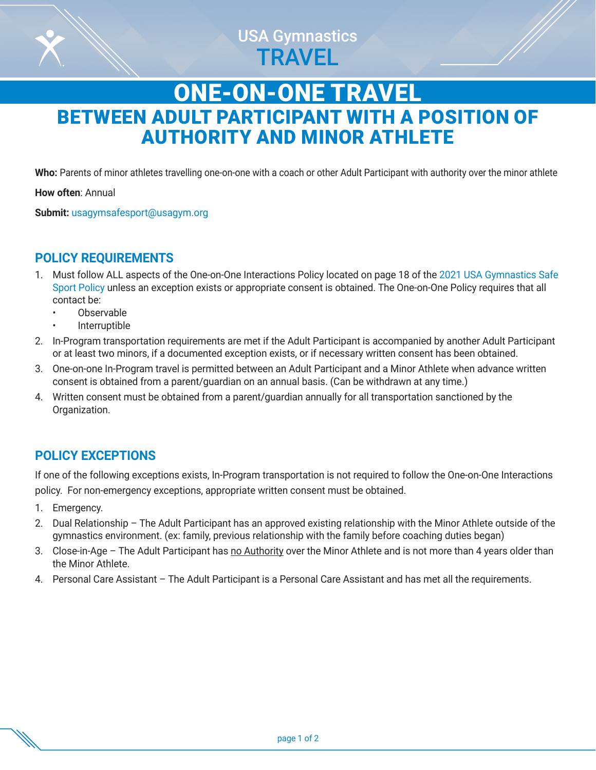

# ONE-ON-ONE TRAVEL BETWEEN ADULT PARTICIPANT WITH A POSITION OF AUTHORITY AND MINOR ATHLETE

**Who:** Parents of minor athletes travelling one-on-one with a coach or other Adult Participant with authority over the minor athlete

**How often**: Annual

**Submit:** [usagymsafesport@usagym.org](mailto:usagymsafesport%40usagym.org?subject=)

# **POLICY REQUIREMENTS**

- 1. Must follow ALL aspects of the One-on-One Interactions Policy located on page 18 of the [2021 USA Gymnastics Safe](https://usagym.org/PDFs/safesport/policy2021.pdf)  [Sport Policy](https://usagym.org/PDFs/safesport/policy2021.pdf) unless an exception exists or appropriate consent is obtained. The One-on-One Policy requires that all contact be:
	- Observable
	- **Interruptible**
- 2. In-Program transportation requirements are met if the Adult Participant is accompanied by another Adult Participant or at least two minors, if a documented exception exists, or if necessary written consent has been obtained.
- 3. One-on-one In-Program travel is permitted between an Adult Participant and a Minor Athlete when advance written consent is obtained from a parent/guardian on an annual basis. (Can be withdrawn at any time.)
- 4. Written consent must be obtained from a parent/guardian annually for all transportation sanctioned by the Organization.

# **POLICY EXCEPTIONS**

If one of the following exceptions exists, In-Program transportation is not required to follow the One-on-One Interactions policy. For non-emergency exceptions, appropriate written consent must be obtained.

- 1. Emergency.
- 2. Dual Relationship The Adult Participant has an approved existing relationship with the Minor Athlete outside of the gymnastics environment. (ex: family, previous relationship with the family before coaching duties began)
- 3. Close-in-Age The Adult Participant has no Authority over the Minor Athlete and is not more than 4 years older than the Minor Athlete.
- 4. Personal Care Assistant The Adult Participant is a Personal Care Assistant and has met all the requirements.